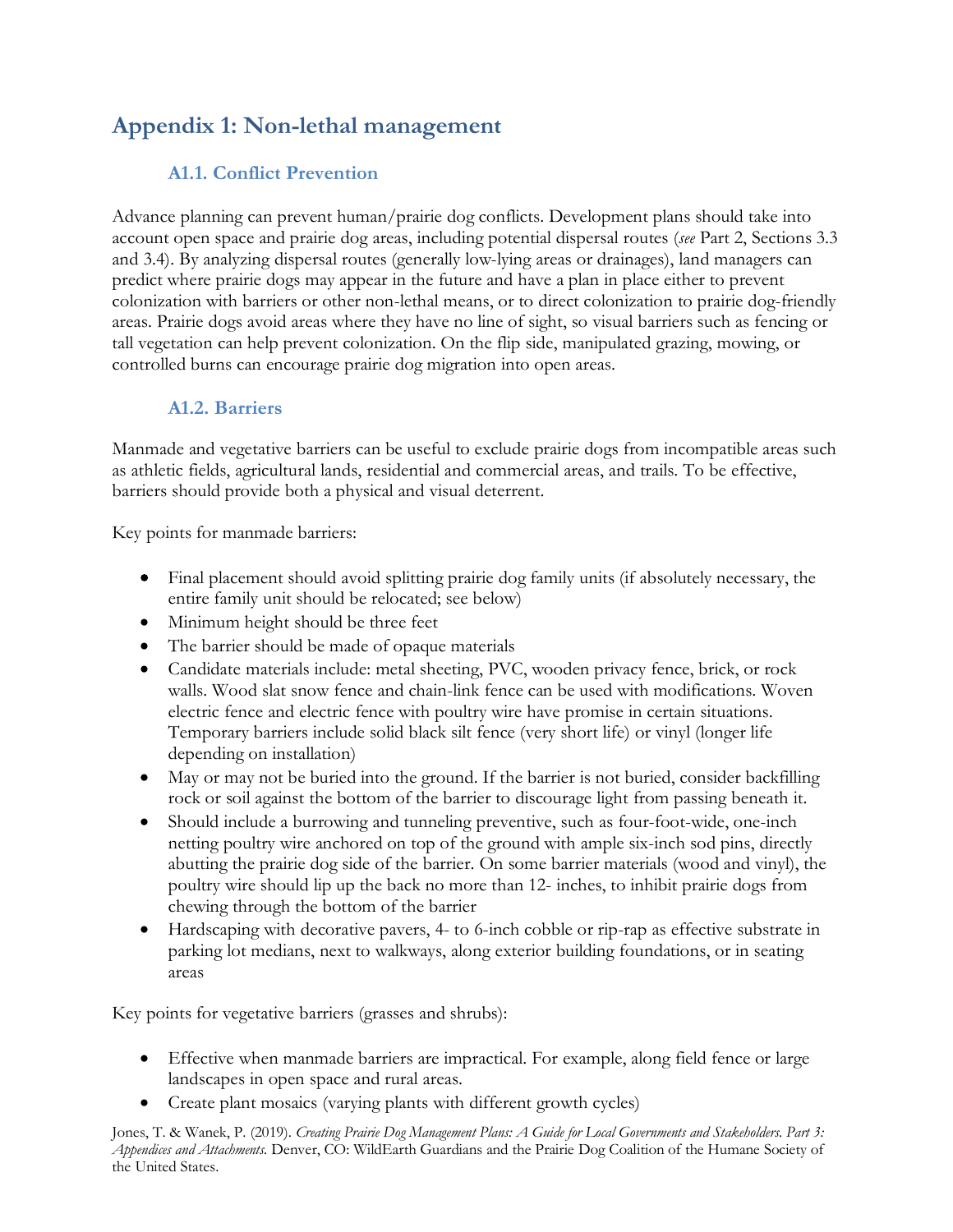# **Appendix 1: Non-lethal management**

## **A1.1. Conflict Prevention**

Advance planning can prevent human/prairie dog conflicts. Development plans should take into account open space and prairie dog areas, including potential dispersal routes (*see* Part 2, Sections 3.3 and 3.4). By analyzing dispersal routes (generally low-lying areas or drainages), land managers can predict where prairie dogs may appear in the future and have a plan in place either to prevent colonization with barriers or other non-lethal means, or to direct colonization to prairie dog-friendly areas. Prairie dogs avoid areas where they have no line of sight, so visual barriers such as fencing or tall vegetation can help prevent colonization. On the flip side, manipulated grazing, mowing, or controlled burns can encourage prairie dog migration into open areas.

## **A1.2. Barriers**

Manmade and vegetative barriers can be useful to exclude prairie dogs from incompatible areas such as athletic fields, agricultural lands, residential and commercial areas, and trails. To be effective, barriers should provide both a physical and visual deterrent.

Key points for manmade barriers:

- Final placement should avoid splitting prairie dog family units (if absolutely necessary, the entire family unit should be relocated; see below)
- Minimum height should be three feet
- The barrier should be made of opaque materials
- Candidate materials include: metal sheeting, PVC, wooden privacy fence, brick, or rock walls. Wood slat snow fence and chain-link fence can be used with modifications. Woven electric fence and electric fence with poultry wire have promise in certain situations. Temporary barriers include solid black silt fence (very short life) or vinyl (longer life depending on installation)
- May or may not be buried into the ground. If the barrier is not buried, consider backfilling rock or soil against the bottom of the barrier to discourage light from passing beneath it.
- Should include a burrowing and tunneling preventive, such as four-foot-wide, one-inch netting poultry wire anchored on top of the ground with ample six-inch sod pins, directly abutting the prairie dog side of the barrier. On some barrier materials (wood and vinyl), the poultry wire should lip up the back no more than 12- inches, to inhibit prairie dogs from chewing through the bottom of the barrier
- Hardscaping with decorative pavers, 4- to 6-inch cobble or rip-rap as effective substrate in parking lot medians, next to walkways, along exterior building foundations, or in seating areas

Key points for vegetative barriers (grasses and shrubs):

- Effective when manmade barriers are impractical. For example, along field fence or large landscapes in open space and rural areas.
- Create plant mosaics (varying plants with different growth cycles)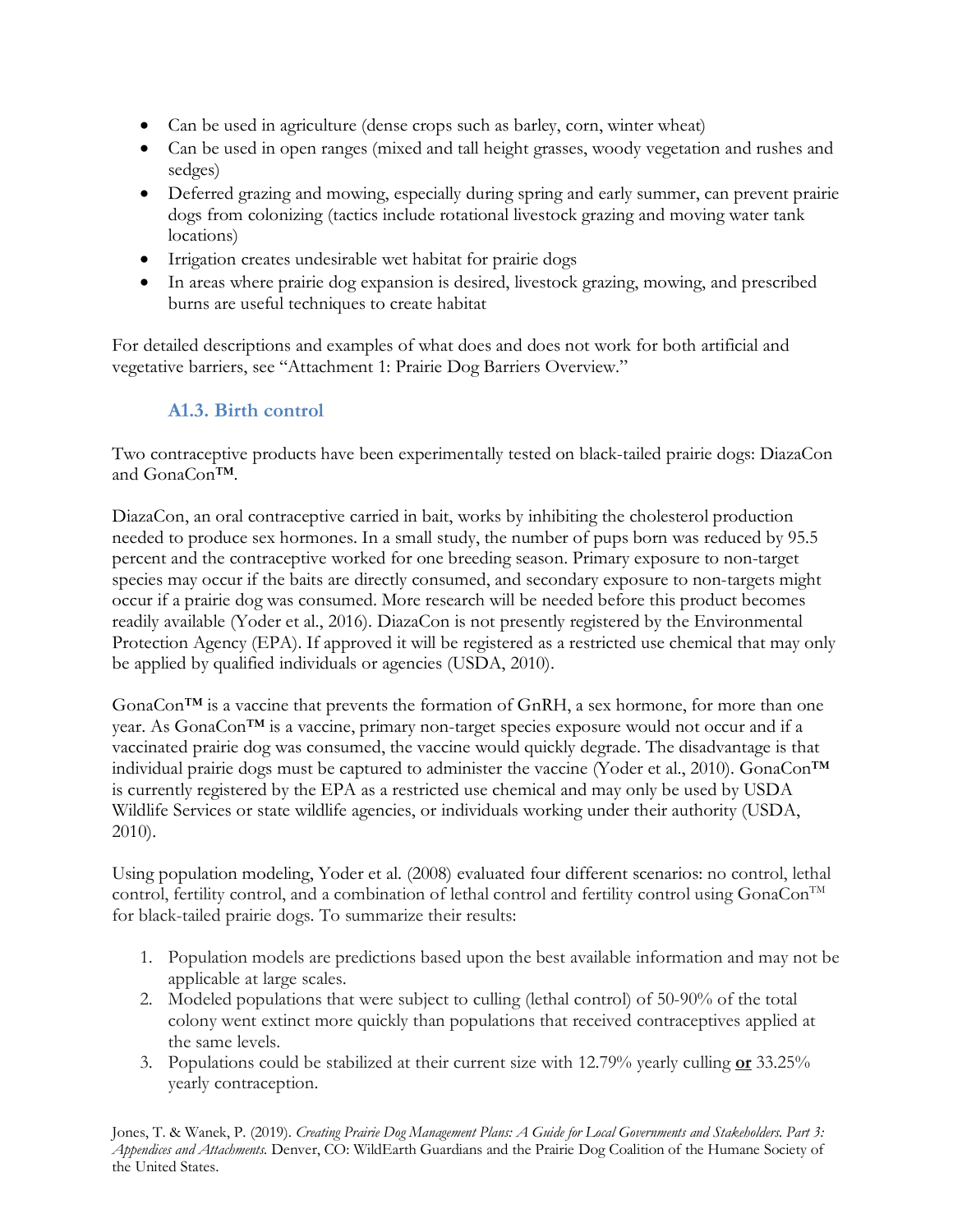- Can be used in agriculture (dense crops such as barley, corn, winter wheat)
- Can be used in open ranges (mixed and tall height grasses, woody vegetation and rushes and sedges)
- Deferred grazing and mowing, especially during spring and early summer, can prevent prairie dogs from colonizing (tactics include rotational livestock grazing and moving water tank locations)
- Irrigation creates undesirable wet habitat for prairie dogs
- In areas where prairie dog expansion is desired, livestock grazing, mowing, and prescribed burns are useful techniques to create habitat

For detailed descriptions and examples of what does and does not work for both artificial and vegetative barriers, see "Attachment 1: Prairie Dog Barriers Overview."

## **A1.3. Birth control**

Two contraceptive products have been experimentally tested on black-tailed prairie dogs: DiazaCon and GonaCon™.

DiazaCon, an oral contraceptive carried in bait, works by inhibiting the cholesterol production needed to produce sex hormones. In a small study, the number of pups born was reduced by 95.5 percent and the contraceptive worked for one breeding season. Primary exposure to non-target species may occur if the baits are directly consumed, and secondary exposure to non-targets might occur if a prairie dog was consumed. More research will be needed before this product becomes readily available (Yoder et al., 2016). DiazaCon is not presently registered by the Environmental Protection Agency (EPA). If approved it will be registered as a restricted use chemical that may only be applied by qualified individuals or agencies (USDA, 2010).

GonaCon™ is a vaccine that prevents the formation of GnRH, a sex hormone, for more than one year. As GonaCon™ is a vaccine, primary non-target species exposure would not occur and if a vaccinated prairie dog was consumed, the vaccine would quickly degrade. The disadvantage is that individual prairie dogs must be captured to administer the vaccine (Yoder et al., 2010). GonaCon™ is currently registered by the EPA as a restricted use chemical and may only be used by USDA Wildlife Services or state wildlife agencies, or individuals working under their authority (USDA, 2010).

Using population modeling, Yoder et al. (2008) evaluated four different scenarios: no control, lethal control, fertility control, and a combination of lethal control and fertility control using  $G$ onaCon<sup>TM</sup> for black-tailed prairie dogs. To summarize their results:

- 1. Population models are predictions based upon the best available information and may not be applicable at large scales.
- 2. Modeled populations that were subject to culling (lethal control) of 50-90% of the total colony went extinct more quickly than populations that received contraceptives applied at the same levels.
- 3. Populations could be stabilized at their current size with 12.79% yearly culling **or** 33.25% yearly contraception.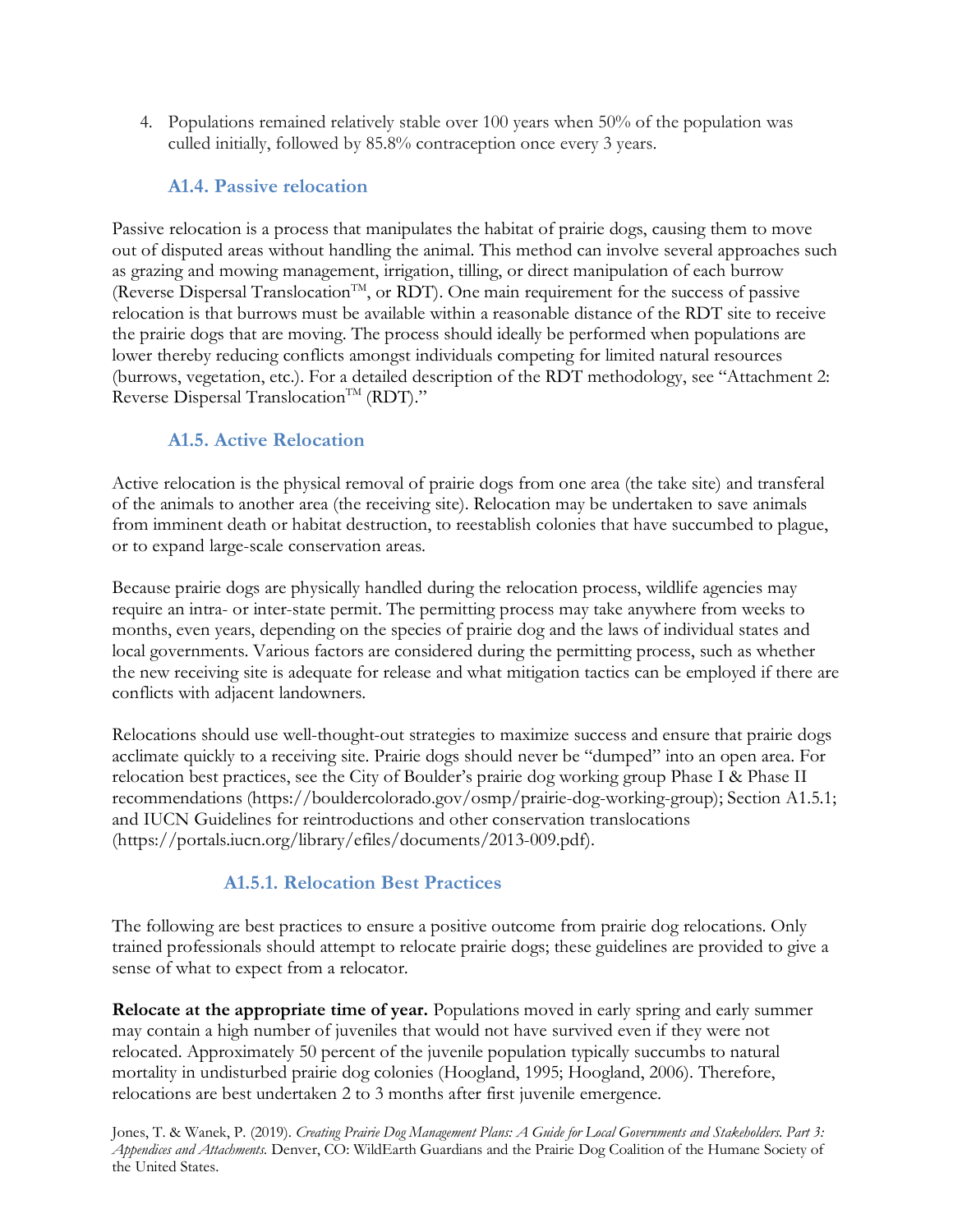4. Populations remained relatively stable over 100 years when 50% of the population was culled initially, followed by 85.8% contraception once every 3 years.

#### **A1.4. Passive relocation**

Passive relocation is a process that manipulates the habitat of prairie dogs, causing them to move out of disputed areas without handling the animal. This method can involve several approaches such as grazing and mowing management, irrigation, tilling, or direct manipulation of each burrow (Reverse Dispersal Translocation<sup>TM</sup>, or RDT). One main requirement for the success of passive relocation is that burrows must be available within a reasonable distance of the RDT site to receive the prairie dogs that are moving. The process should ideally be performed when populations are lower thereby reducing conflicts amongst individuals competing for limited natural resources (burrows, vegetation, etc.). For a detailed description of the RDT methodology, see "Attachment 2: Reverse Dispersal Translocation<sup>TM</sup> (RDT)."

## **A1.5. Active Relocation**

Active relocation is the physical removal of prairie dogs from one area (the take site) and transferal of the animals to another area (the receiving site). Relocation may be undertaken to save animals from imminent death or habitat destruction, to reestablish colonies that have succumbed to plague, or to expand large-scale conservation areas.

Because prairie dogs are physically handled during the relocation process, wildlife agencies may require an intra- or inter-state permit. The permitting process may take anywhere from weeks to months, even years, depending on the species of prairie dog and the laws of individual states and local governments. Various factors are considered during the permitting process, such as whether the new receiving site is adequate for release and what mitigation tactics can be employed if there are conflicts with adjacent landowners.

Relocations should use well-thought-out strategies to maximize success and ensure that prairie dogs acclimate quickly to a receiving site. Prairie dogs should never be "dumped" into an open area. For relocation best practices, see the City of Boulder's prairie dog working group Phase I & Phase II recommendations (https://bouldercolorado.gov/osmp/prairie-dog-working-group); Section A1.5.1; and IUCN Guidelines for reintroductions and other conservation translocations (https://portals.iucn.org/library/efiles/documents/2013-009.pdf).

## **A1.5.1. Relocation Best Practices**

The following are best practices to ensure a positive outcome from prairie dog relocations. Only trained professionals should attempt to relocate prairie dogs; these guidelines are provided to give a sense of what to expect from a relocator.

**Relocate at the appropriate time of year.** Populations moved in early spring and early summer may contain a high number of juveniles that would not have survived even if they were not relocated. Approximately 50 percent of the juvenile population typically succumbs to natural mortality in undisturbed prairie dog colonies (Hoogland, 1995; Hoogland, 2006). Therefore, relocations are best undertaken 2 to 3 months after first juvenile emergence.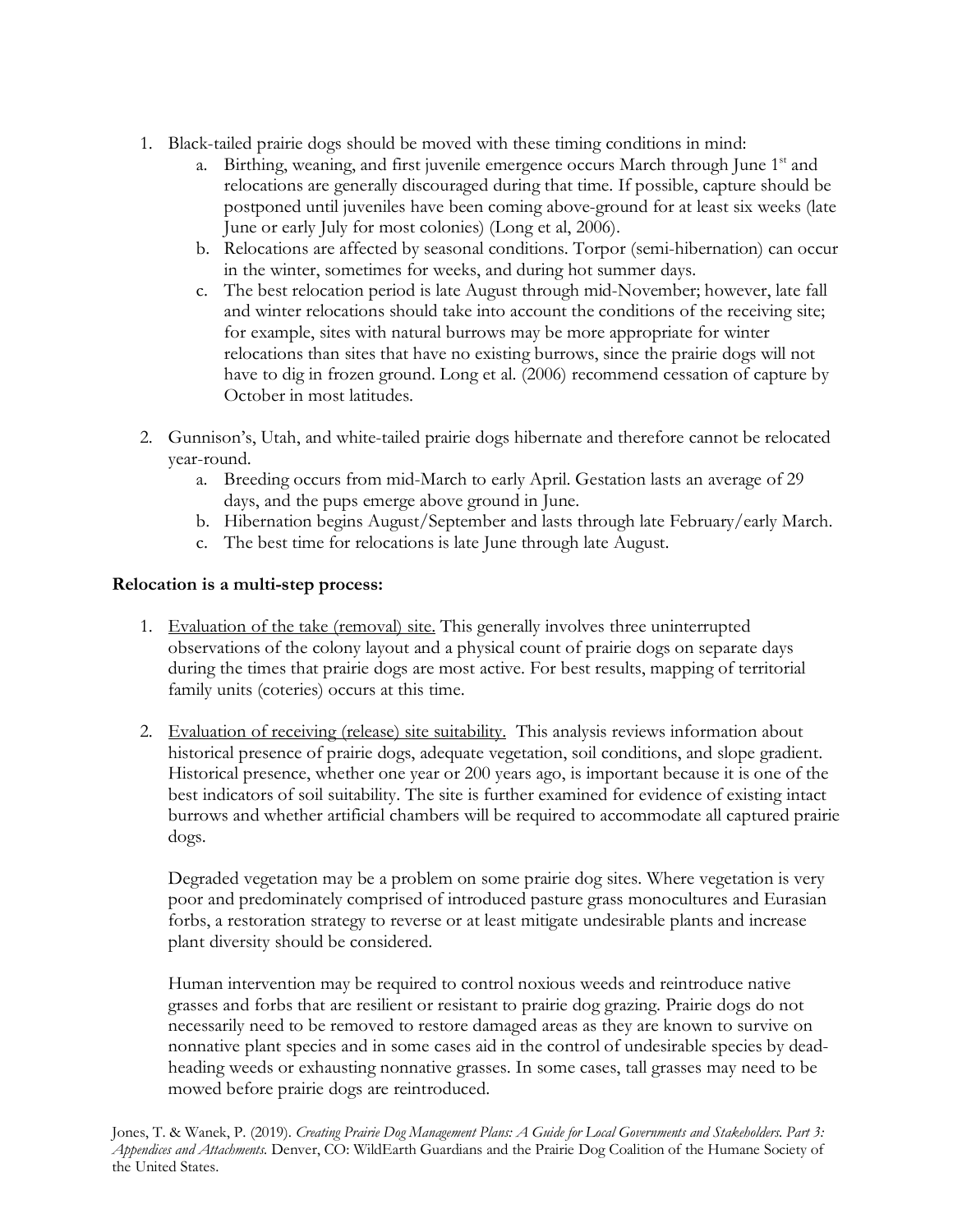- 1. Black-tailed prairie dogs should be moved with these timing conditions in mind:
	- a. Birthing, weaning, and first juvenile emergence occurs March through June  $1<sup>st</sup>$  and relocations are generally discouraged during that time. If possible, capture should be postponed until juveniles have been coming above-ground for at least six weeks (late June or early July for most colonies) (Long et al, 2006).
	- b. Relocations are affected by seasonal conditions. Torpor (semi-hibernation) can occur in the winter, sometimes for weeks, and during hot summer days.
	- c. The best relocation period is late August through mid-November; however, late fall and winter relocations should take into account the conditions of the receiving site; for example, sites with natural burrows may be more appropriate for winter relocations than sites that have no existing burrows, since the prairie dogs will not have to dig in frozen ground. Long et al. (2006) recommend cessation of capture by October in most latitudes.
- 2. Gunnison's, Utah, and white-tailed prairie dogs hibernate and therefore cannot be relocated year-round.
	- a. Breeding occurs from mid-March to early April. Gestation lasts an average of 29 days, and the pups emerge above ground in June.
	- b. Hibernation begins August/September and lasts through late February/early March.
	- c. The best time for relocations is late June through late August.

#### **Relocation is a multi-step process:**

- 1. Evaluation of the take (removal) site. This generally involves three uninterrupted observations of the colony layout and a physical count of prairie dogs on separate days during the times that prairie dogs are most active. For best results, mapping of territorial family units (coteries) occurs at this time.
- 2. Evaluation of receiving (release) site suitability. This analysis reviews information about historical presence of prairie dogs, adequate vegetation, soil conditions, and slope gradient. Historical presence, whether one year or 200 years ago, is important because it is one of the best indicators of soil suitability. The site is further examined for evidence of existing intact burrows and whether artificial chambers will be required to accommodate all captured prairie dogs.

Degraded vegetation may be a problem on some prairie dog sites. Where vegetation is very poor and predominately comprised of introduced pasture grass monocultures and Eurasian forbs, a restoration strategy to reverse or at least mitigate undesirable plants and increase plant diversity should be considered.

Human intervention may be required to control noxious weeds and reintroduce native grasses and forbs that are resilient or resistant to prairie dog grazing. Prairie dogs do not necessarily need to be removed to restore damaged areas as they are known to survive on nonnative plant species and in some cases aid in the control of undesirable species by deadheading weeds or exhausting nonnative grasses. In some cases, tall grasses may need to be mowed before prairie dogs are reintroduced.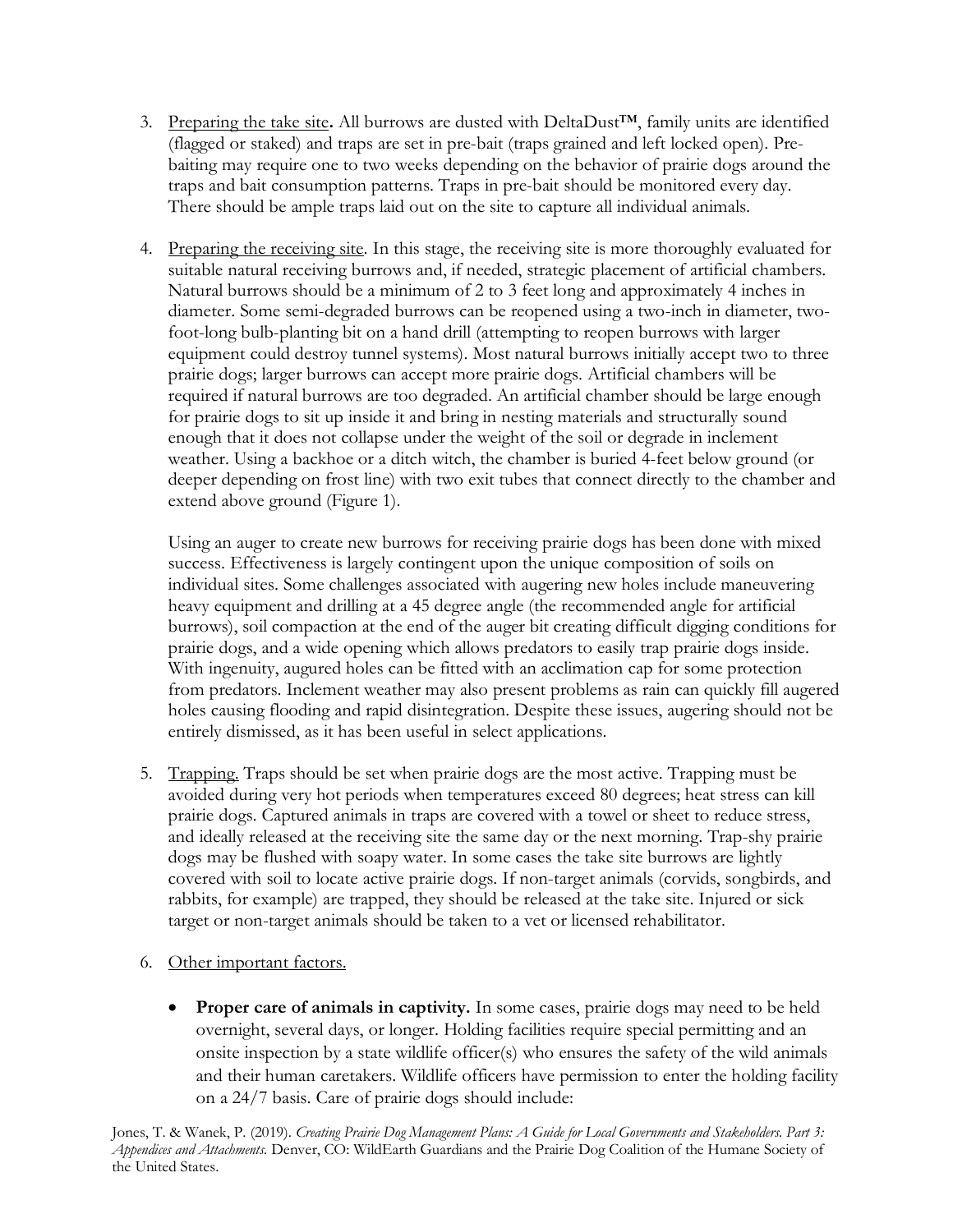- 3. Preparing the take site**.** All burrows are dusted with DeltaDust™, family units are identified (flagged or staked) and traps are set in pre-bait (traps grained and left locked open). Prebaiting may require one to two weeks depending on the behavior of prairie dogs around the traps and bait consumption patterns. Traps in pre-bait should be monitored every day. There should be ample traps laid out on the site to capture all individual animals.
- 4. Preparing the receiving site. In this stage, the receiving site is more thoroughly evaluated for suitable natural receiving burrows and, if needed, strategic placement of artificial chambers. Natural burrows should be a minimum of 2 to 3 feet long and approximately 4 inches in diameter. Some semi-degraded burrows can be reopened using a two-inch in diameter, twofoot-long bulb-planting bit on a hand drill (attempting to reopen burrows with larger equipment could destroy tunnel systems). Most natural burrows initially accept two to three prairie dogs; larger burrows can accept more prairie dogs. Artificial chambers will be required if natural burrows are too degraded. An artificial chamber should be large enough for prairie dogs to sit up inside it and bring in nesting materials and structurally sound enough that it does not collapse under the weight of the soil or degrade in inclement weather. Using a backhoe or a ditch witch, the chamber is buried 4-feet below ground (or deeper depending on frost line) with two exit tubes that connect directly to the chamber and extend above ground (Figure 1).

Using an auger to create new burrows for receiving prairie dogs has been done with mixed success. Effectiveness is largely contingent upon the unique composition of soils on individual sites. Some challenges associated with augering new holes include maneuvering heavy equipment and drilling at a 45 degree angle (the recommended angle for artificial burrows), soil compaction at the end of the auger bit creating difficult digging conditions for prairie dogs, and a wide opening which allows predators to easily trap prairie dogs inside. With ingenuity, augured holes can be fitted with an acclimation cap for some protection from predators. Inclement weather may also present problems as rain can quickly fill augered holes causing flooding and rapid disintegration. Despite these issues, augering should not be entirely dismissed, as it has been useful in select applications.

- 5. Trapping. Traps should be set when prairie dogs are the most active. Trapping must be avoided during very hot periods when temperatures exceed 80 degrees; heat stress can kill prairie dogs. Captured animals in traps are covered with a towel or sheet to reduce stress, and ideally released at the receiving site the same day or the next morning. Trap-shy prairie dogs may be flushed with soapy water. In some cases the take site burrows are lightly covered with soil to locate active prairie dogs. If non-target animals (corvids, songbirds, and rabbits, for example) are trapped, they should be released at the take site. Injured or sick target or non-target animals should be taken to a vet or licensed rehabilitator.
- 6. Other important factors.
	- **Proper care of animals in captivity.** In some cases, prairie dogs may need to be held overnight, several days, or longer. Holding facilities require special permitting and an onsite inspection by a state wildlife officer(s) who ensures the safety of the wild animals and their human caretakers. Wildlife officers have permission to enter the holding facility on a 24/7 basis. Care of prairie dogs should include: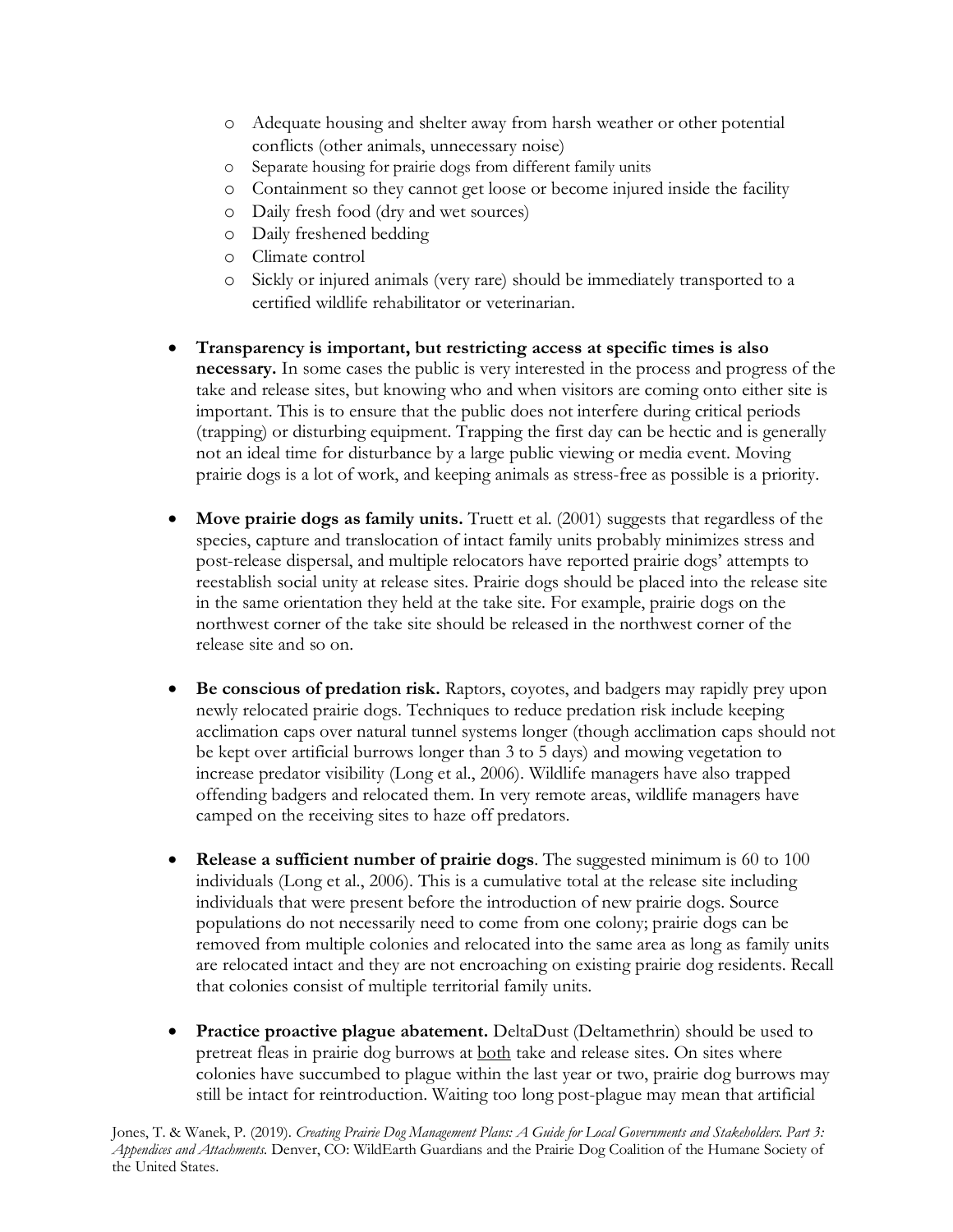- o Adequate housing and shelter away from harsh weather or other potential conflicts (other animals, unnecessary noise)
- o Separate housing for prairie dogs from different family units
- o Containment so they cannot get loose or become injured inside the facility
- o Daily fresh food (dry and wet sources)
- o Daily freshened bedding
- o Climate control
- o Sickly or injured animals (very rare) should be immediately transported to a certified wildlife rehabilitator or veterinarian.
- **Transparency is important, but restricting access at specific times is also necessary.** In some cases the public is very interested in the process and progress of the take and release sites, but knowing who and when visitors are coming onto either site is important. This is to ensure that the public does not interfere during critical periods (trapping) or disturbing equipment. Trapping the first day can be hectic and is generally not an ideal time for disturbance by a large public viewing or media event. Moving prairie dogs is a lot of work, and keeping animals as stress-free as possible is a priority.
- **Move prairie dogs as family units.** Truett et al. (2001) suggests that regardless of the species, capture and translocation of intact family units probably minimizes stress and post-release dispersal, and multiple relocators have reported prairie dogs' attempts to reestablish social unity at release sites. Prairie dogs should be placed into the release site in the same orientation they held at the take site. For example, prairie dogs on the northwest corner of the take site should be released in the northwest corner of the release site and so on.
- **Be conscious of predation risk.** Raptors, coyotes, and badgers may rapidly prey upon newly relocated prairie dogs. Techniques to reduce predation risk include keeping acclimation caps over natural tunnel systems longer (though acclimation caps should not be kept over artificial burrows longer than 3 to 5 days) and mowing vegetation to increase predator visibility (Long et al., 2006). Wildlife managers have also trapped offending badgers and relocated them. In very remote areas, wildlife managers have camped on the receiving sites to haze off predators.
- **Release a sufficient number of prairie dogs**. The suggested minimum is 60 to 100 individuals (Long et al., 2006). This is a cumulative total at the release site including individuals that were present before the introduction of new prairie dogs. Source populations do not necessarily need to come from one colony; prairie dogs can be removed from multiple colonies and relocated into the same area as long as family units are relocated intact and they are not encroaching on existing prairie dog residents. Recall that colonies consist of multiple territorial family units.
- **Practice proactive plague abatement.** DeltaDust (Deltamethrin) should be used to pretreat fleas in prairie dog burrows at both take and release sites. On sites where colonies have succumbed to plague within the last year or two, prairie dog burrows may still be intact for reintroduction. Waiting too long post-plague may mean that artificial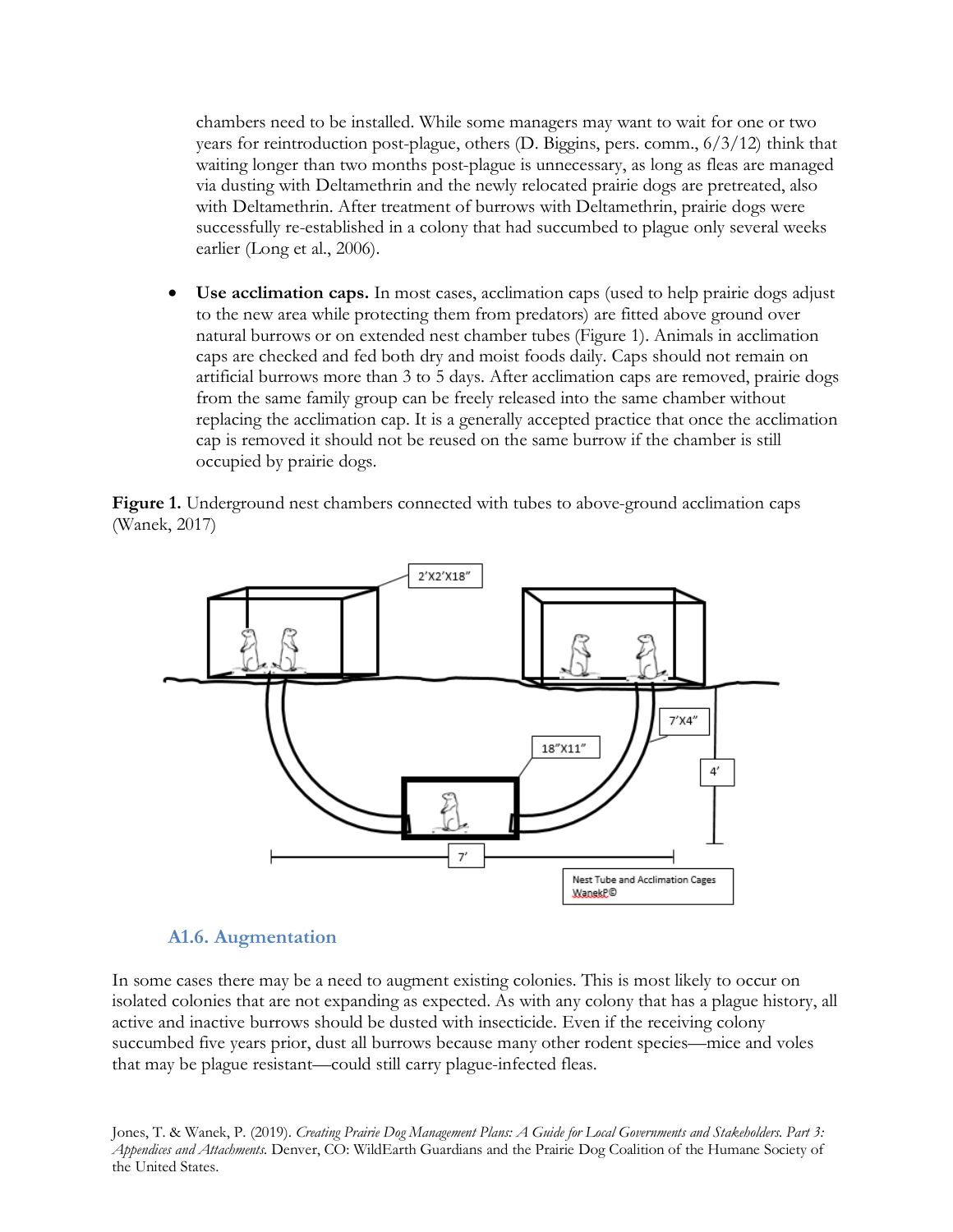chambers need to be installed. While some managers may want to wait for one or two years for reintroduction post-plague, others (D. Biggins, pers. comm., 6/3/12) think that waiting longer than two months post-plague is unnecessary, as long as fleas are managed via dusting with Deltamethrin and the newly relocated prairie dogs are pretreated, also with Deltamethrin. After treatment of burrows with Deltamethrin, prairie dogs were successfully re-established in a colony that had succumbed to plague only several weeks earlier (Long et al., 2006).

• **Use acclimation caps.** In most cases, acclimation caps (used to help prairie dogs adjust to the new area while protecting them from predators) are fitted above ground over natural burrows or on extended nest chamber tubes (Figure 1). Animals in acclimation caps are checked and fed both dry and moist foods daily. Caps should not remain on artificial burrows more than 3 to 5 days. After acclimation caps are removed, prairie dogs from the same family group can be freely released into the same chamber without replacing the acclimation cap. It is a generally accepted practice that once the acclimation cap is removed it should not be reused on the same burrow if the chamber is still occupied by prairie dogs.

**Figure 1.** Underground nest chambers connected with tubes to above-ground acclimation caps (Wanek, 2017)



#### **A1.6. Augmentation**

In some cases there may be a need to augment existing colonies. This is most likely to occur on isolated colonies that are not expanding as expected. As with any colony that has a plague history, all active and inactive burrows should be dusted with insecticide. Even if the receiving colony succumbed five years prior, dust all burrows because many other rodent species—mice and voles that may be plague resistant—could still carry plague-infected fleas.